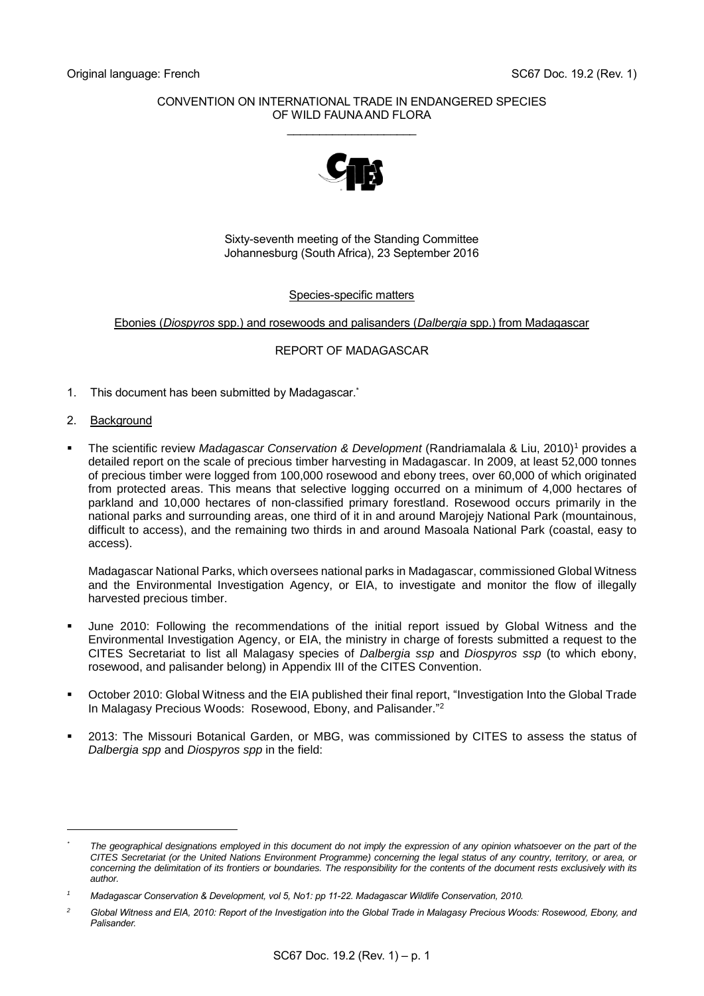### CONVENTION ON INTERNATIONAL TRADE IN ENDANGERED SPECIES OF WILD FAUNA AND FLORA \_\_\_\_\_\_\_\_\_\_\_\_\_\_\_\_\_\_\_\_



Sixty-seventh meeting of the Standing Committee Johannesburg (South Africa), 23 September 2016

#### Species-specific matters

Ebonies (*Diospyros* spp.) and rosewoods and palisanders (*Dalbergia* spp.) from Madagascar

### REPORT OF MADAGASCAR

- 1. This document has been submitted by Madagascar. \*
- 2. Background

-

 The scientific review *Madagascar Conservation & Development* (Randriamalala & Liu, 2010)<sup>1</sup> provides a detailed report on the scale of precious timber harvesting in Madagascar. In 2009, at least 52,000 tonnes of precious timber were logged from 100,000 rosewood and ebony trees, over 60,000 of which originated from protected areas. This means that selective logging occurred on a minimum of 4,000 hectares of parkland and 10,000 hectares of non-classified primary forestland. Rosewood occurs primarily in the national parks and surrounding areas, one third of it in and around Marojejy National Park (mountainous, difficult to access), and the remaining two thirds in and around Masoala National Park (coastal, easy to access).

Madagascar National Parks, which oversees national parks in Madagascar, commissioned Global Witness and the Environmental Investigation Agency, or EIA, to investigate and monitor the flow of illegally harvested precious timber.

- June 2010: Following the recommendations of the initial report issued by Global Witness and the Environmental Investigation Agency, or EIA, the ministry in charge of forests submitted a request to the CITES Secretariat to list all Malagasy species of *Dalbergia ssp* and *Diospyros ssp* (to which ebony, rosewood, and palisander belong) in Appendix III of the CITES Convention.
- October 2010: Global Witness and the EIA published their final report, "Investigation Into the Global Trade In Malagasy Precious Woods: Rosewood, Ebony, and Palisander." 2
- 2013: The Missouri Botanical Garden, or MBG, was commissioned by CITES to assess the status of *Dalbergia spp* and *Diospyros spp* in the field:

*<sup>\*</sup> The geographical designations employed in this document do not imply the expression of any opinion whatsoever on the part of the CITES Secretariat (or the United Nations Environment Programme) concerning the legal status of any country, territory, or area, or concerning the delimitation of its frontiers or boundaries. The responsibility for the contents of the document rests exclusively with its author.*

*<sup>1</sup> Madagascar Conservation & Development, vol 5, No1: pp 11-22. Madagascar Wildlife Conservation, 2010.*

*<sup>2</sup> Global Witness and EIA, 2010: Report of the Investigation into the Global Trade in Malagasy Precious Woods: Rosewood, Ebony, and Palisander.*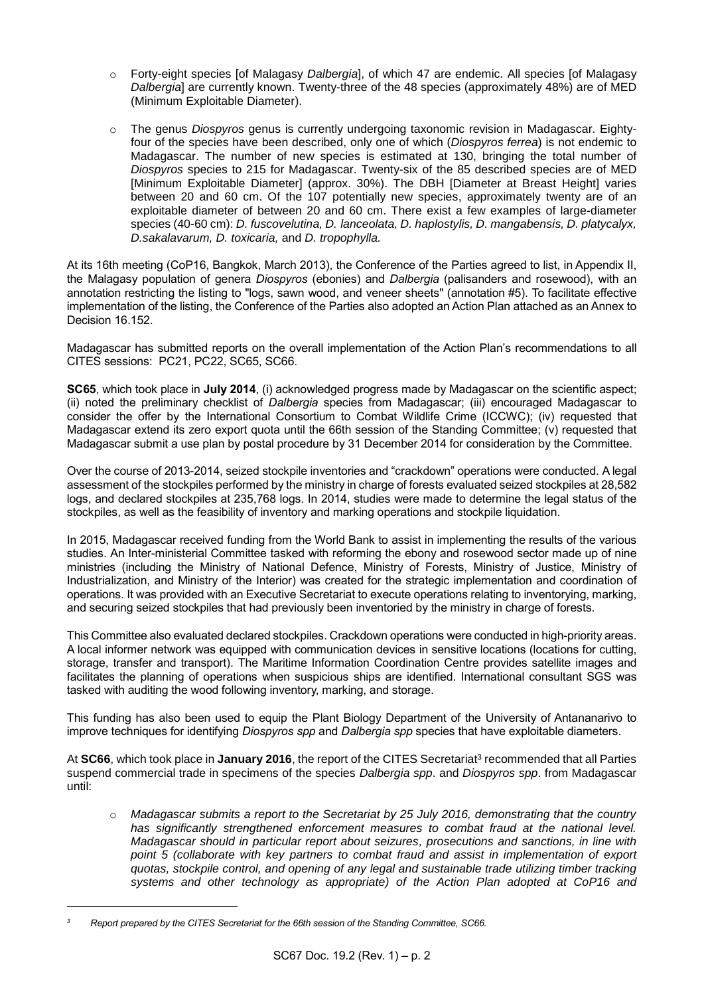- o Forty-eight species [of Malagasy *Dalbergia*], of which 47 are endemic. All species [of Malagasy *Dalbergia*] are currently known. Twenty-three of the 48 species (approximately 48%) are of MED (Minimum Exploitable Diameter).
- o The genus *Diospyros* genus is currently undergoing taxonomic revision in Madagascar. Eightyfour of the species have been described, only one of which (*Diospyros ferrea*) is not endemic to Madagascar. The number of new species is estimated at 130, bringing the total number of *Diospyros* species to 215 for Madagascar. Twenty-six of the 85 described species are of MED [Minimum Exploitable Diameter] (approx. 30%). The DBH [Diameter at Breast Height] varies between 20 and 60 cm. Of the 107 potentially new species, approximately twenty are of an exploitable diameter of between 20 and 60 cm. There exist a few examples of large-diameter species (40-60 cm): *D. fuscovelutina, D. lanceolata, D. haplostylis, D. mangabensis, D. platycalyx, D.sakalavarum, D. toxicaria,* and *D. tropophylla.*

At its 16th meeting (CoP16, Bangkok, March 2013), the Conference of the Parties agreed to list, in Appendix II, the Malagasy population of genera *Diospyros* (ebonies) and *Dalbergia* (palisanders and rosewood), with an annotation restricting the listing to "logs, sawn wood, and veneer sheets" (annotation #5). To facilitate effective implementation of the listing, the Conference of the Parties also adopted an Action Plan attached as an Annex to Decision 16.152

Madagascar has submitted reports on the overall implementation of the Action Plan's recommendations to all CITES sessions: PC21, PC22, SC65, SC66.

**SC65**, which took place in **July 2014**, (i) acknowledged progress made by Madagascar on the scientific aspect; (ii) noted the preliminary checklist of *Dalbergia* species from Madagascar; (iii) encouraged Madagascar to consider the offer by the International Consortium to Combat Wildlife Crime (ICCWC); (iv) requested that Madagascar extend its zero export quota until the 66th session of the Standing Committee; (v) requested that Madagascar submit a use plan by postal procedure by 31 December 2014 for consideration by the Committee.

Over the course of 2013-2014, seized stockpile inventories and "crackdown" operations were conducted. A legal assessment of the stockpiles performed by the ministry in charge of forests evaluated seized stockpiles at 28,582 logs, and declared stockpiles at 235,768 logs. In 2014, studies were made to determine the legal status of the stockpiles, as well as the feasibility of inventory and marking operations and stockpile liquidation.

In 2015, Madagascar received funding from the World Bank to assist in implementing the results of the various studies. An Inter-ministerial Committee tasked with reforming the ebony and rosewood sector made up of nine ministries (including the Ministry of National Defence, Ministry of Forests, Ministry of Justice, Ministry of Industrialization, and Ministry of the Interior) was created for the strategic implementation and coordination of operations. It was provided with an Executive Secretariat to execute operations relating to inventorying, marking, and securing seized stockpiles that had previously been inventoried by the ministry in charge of forests.

This Committee also evaluated declared stockpiles. Crackdown operations were conducted in high-priority areas. A local informer network was equipped with communication devices in sensitive locations (locations for cutting, storage, transfer and transport). The Maritime Information Coordination Centre provides satellite images and facilitates the planning of operations when suspicious ships are identified. International consultant SGS was tasked with auditing the wood following inventory, marking, and storage.

This funding has also been used to equip the Plant Biology Department of the University of Antananarivo to improve techniques for identifying *Diospyros spp* and *Dalbergia spp* species that have exploitable diameters.

At SC66, which took place in January 2016, the report of the CITES Secretariat<sup>3</sup> recommended that all Parties suspend commercial trade in specimens of the species *Dalbergia spp*. and *Diospyros spp*. from Madagascar until:

o *Madagascar submits a report to the Secretariat by 25 July 2016, demonstrating that the country has significantly strengthened enforcement measures to combat fraud at the national level. Madagascar should in particular report about seizures, prosecutions and sanctions, in line with point 5 (collaborate with key partners to combat fraud and assist in implementation of export quotas, stockpile control, and opening of any legal and sustainable trade utilizing timber tracking systems and other technology as appropriate) of the Action Plan adopted at CoP16 and* 

1

*<sup>3</sup> Report prepared by the CITES Secretariat for the 66th session of the Standing Committee, SC66.*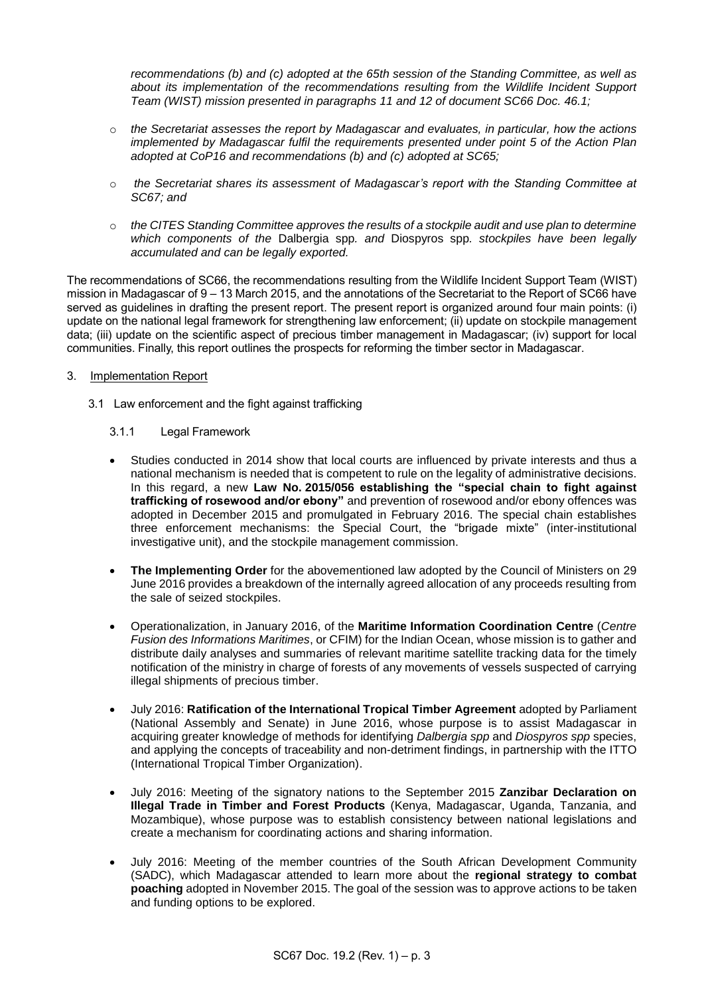*recommendations (b) and (c) adopted at the 65th session of the Standing Committee, as well as about its implementation of the recommendations resulting from the Wildlife Incident Support Team (WIST) mission presented in paragraphs 11 and 12 of document SC66 Doc. 46.1;* 

- o *the Secretariat assesses the report by Madagascar and evaluates, in particular, how the actions implemented by Madagascar fulfil the requirements presented under point 5 of the Action Plan adopted at CoP16 and recommendations (b) and (c) adopted at SC65;*
- o *the Secretariat shares its assessment of Madagascar's report with the Standing Committee at SC67; and*
- o *the CITES Standing Committee approves the results of a stockpile audit and use plan to determine which components of the* Dalbergia spp*. and* Diospyros spp*. stockpiles have been legally accumulated and can be legally exported.*

The recommendations of SC66, the recommendations resulting from the Wildlife Incident Support Team (WIST) mission in Madagascar of 9 – 13 March 2015, and the annotations of the Secretariat to the Report of SC66 have served as guidelines in drafting the present report. The present report is organized around four main points: (i) update on the national legal framework for strengthening law enforcement; (ii) update on stockpile management data; (iii) update on the scientific aspect of precious timber management in Madagascar; (iv) support for local communities. Finally, this report outlines the prospects for reforming the timber sector in Madagascar.

### 3. Implementation Report

3.1 Law enforcement and the fight against trafficking

# 3.1.1 Legal Framework

- Studies conducted in 2014 show that local courts are influenced by private interests and thus a national mechanism is needed that is competent to rule on the legality of administrative decisions. In this regard, a new **Law No. 2015/056 establishing the "special chain to fight against trafficking of rosewood and/or ebony"** and prevention of rosewood and/or ebony offences was adopted in December 2015 and promulgated in February 2016. The special chain establishes three enforcement mechanisms: the Special Court, the "brigade mixte" (inter-institutional investigative unit), and the stockpile management commission.
- **The Implementing Order** for the abovementioned law adopted by the Council of Ministers on 29 June 2016 provides a breakdown of the internally agreed allocation of any proceeds resulting from the sale of seized stockpiles.
- Operationalization, in January 2016, of the **Maritime Information Coordination Centre** (*Centre Fusion des Informations Maritimes*, or CFIM) for the Indian Ocean, whose mission is to gather and distribute daily analyses and summaries of relevant maritime satellite tracking data for the timely notification of the ministry in charge of forests of any movements of vessels suspected of carrying illegal shipments of precious timber.
- July 2016: **Ratification of the International Tropical Timber Agreement** adopted by Parliament (National Assembly and Senate) in June 2016, whose purpose is to assist Madagascar in acquiring greater knowledge of methods for identifying *Dalbergia spp* and *Diospyros spp* species, and applying the concepts of traceability and non-detriment findings, in partnership with the ITTO (International Tropical Timber Organization).
- July 2016: Meeting of the signatory nations to the September 2015 **Zanzibar Declaration on Illegal Trade in Timber and Forest Products** (Kenya, Madagascar, Uganda, Tanzania, and Mozambique), whose purpose was to establish consistency between national legislations and create a mechanism for coordinating actions and sharing information.
- July 2016: Meeting of the member countries of the South African Development Community (SADC), which Madagascar attended to learn more about the **regional strategy to combat poaching** adopted in November 2015. The goal of the session was to approve actions to be taken and funding options to be explored.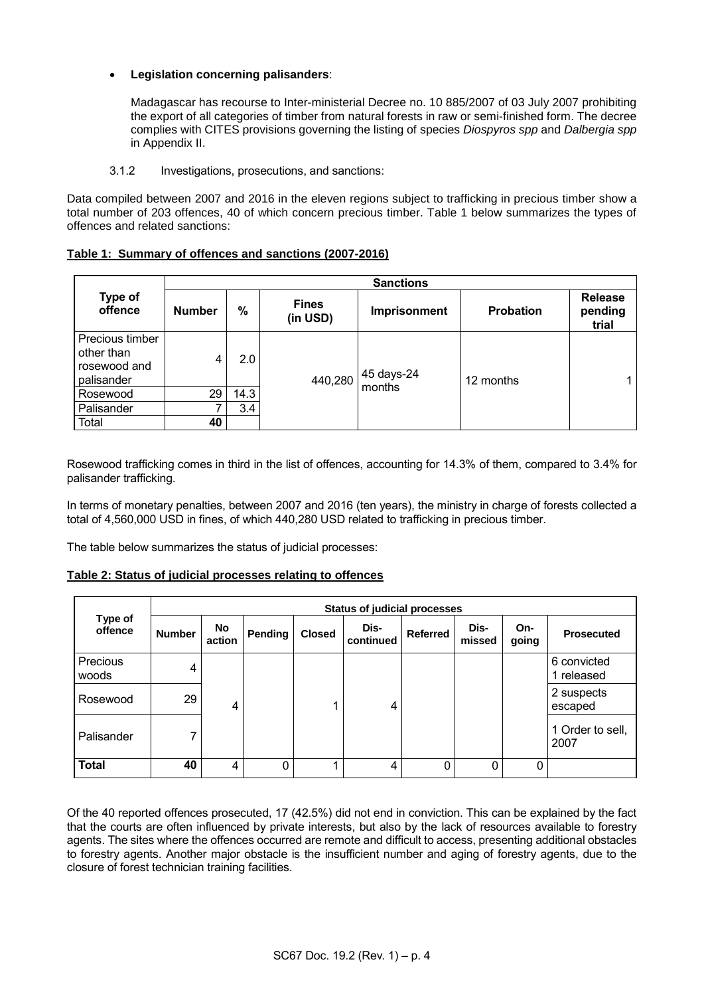# **Legislation concerning palisanders**:

Madagascar has recourse to Inter-ministerial Decree no. 10 885/2007 of 03 July 2007 prohibiting the export of all categories of timber from natural forests in raw or semi-finished form. The decree complies with CITES provisions governing the listing of species *Diospyros spp* and *Dalbergia spp* in Appendix II.

3.1.2 Investigations, prosecutions, and sanctions:

Data compiled between 2007 and 2016 in the eleven regions subject to trafficking in precious timber show a total number of 203 offences, 40 of which concern precious timber. Table 1 below summarizes the types of offences and related sanctions:

| Table 1: Summary of offences and sanctions (2007-2016) |  |
|--------------------------------------------------------|--|
|                                                        |  |

|                                                             | <b>Sanctions</b> |               |                          |                      |                  |                                    |  |
|-------------------------------------------------------------|------------------|---------------|--------------------------|----------------------|------------------|------------------------------------|--|
| Type of<br>offence                                          | <b>Number</b>    | $\frac{0}{0}$ | <b>Fines</b><br>(in USD) | Imprisonment         | <b>Probation</b> | <b>Release</b><br>pending<br>trial |  |
| Precious timber<br>other than<br>rosewood and<br>palisander | 4                | 2.0           | 440,280                  | 45 days-24<br>months | 12 months        | $\mathbf{1}$                       |  |
| Rosewood                                                    | 29               | 14.3          |                          |                      |                  |                                    |  |
| Palisander                                                  |                  | 3.4           |                          |                      |                  |                                    |  |
| Total                                                       | 40               |               |                          |                      |                  |                                    |  |

Rosewood trafficking comes in third in the list of offences, accounting for 14.3% of them, compared to 3.4% for palisander trafficking.

In terms of monetary penalties, between 2007 and 2016 (ten years), the ministry in charge of forests collected a total of 4,560,000 USD in fines, of which 440,280 USD related to trafficking in precious timber.

The table below summarizes the status of judicial processes:

# **Table 2: Status of judicial processes relating to offences**

| Type of<br>offence | <b>Status of judicial processes</b> |              |          |               |                   |                 |                |              |                           |
|--------------------|-------------------------------------|--------------|----------|---------------|-------------------|-----------------|----------------|--------------|---------------------------|
|                    | <b>Number</b>                       | No<br>action | Pending  | <b>Closed</b> | Dis-<br>continued | <b>Referred</b> | Dis-<br>missed | On-<br>going | <b>Prosecuted</b>         |
| Precious<br>woods  | 4                                   |              |          |               |                   |                 |                |              | 6 convicted<br>1 released |
| Rosewood           | 29                                  | 4            |          |               | 4                 |                 |                |              | 2 suspects<br>escaped     |
| Palisander         | 7                                   |              |          |               |                   |                 |                |              | 1 Order to sell,<br>2007  |
| <b>Total</b>       | 40                                  | 4            | $\Omega$ |               | 4                 | 0               | 0              |              |                           |

Of the 40 reported offences prosecuted, 17 (42.5%) did not end in conviction. This can be explained by the fact that the courts are often influenced by private interests, but also by the lack of resources available to forestry agents. The sites where the offences occurred are remote and difficult to access, presenting additional obstacles to forestry agents. Another major obstacle is the insufficient number and aging of forestry agents, due to the closure of forest technician training facilities.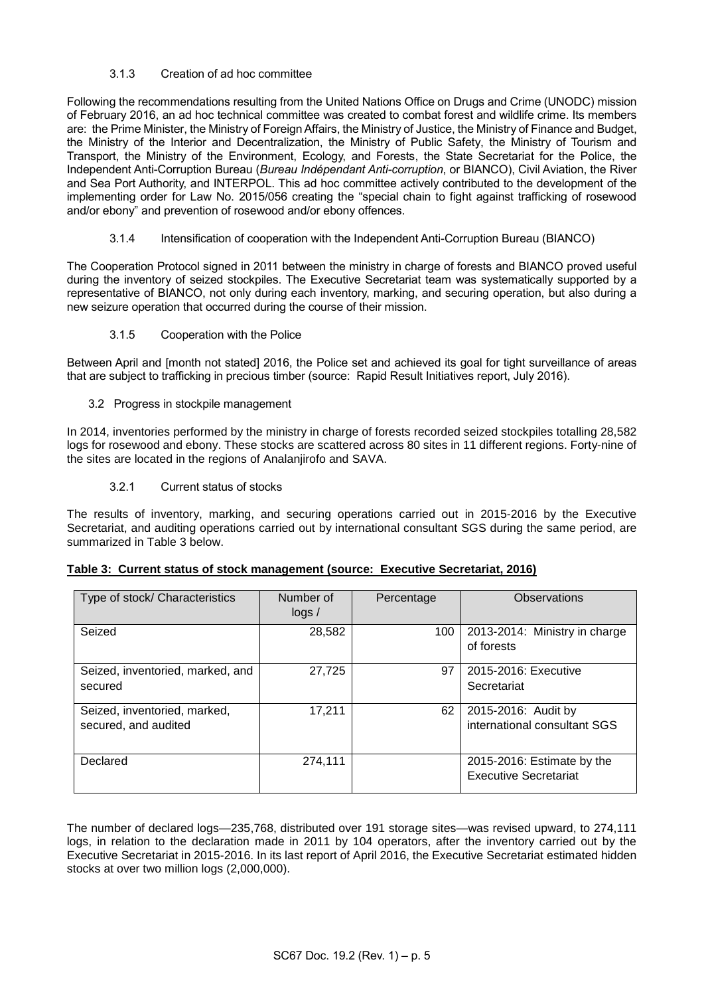# 3.1.3 Creation of ad hoc committee

Following the recommendations resulting from the United Nations Office on Drugs and Crime (UNODC) mission of February 2016, an ad hoc technical committee was created to combat forest and wildlife crime. Its members are: the Prime Minister, the Ministry of Foreign Affairs, the Ministry of Justice, the Ministry of Finance and Budget, the Ministry of the Interior and Decentralization, the Ministry of Public Safety, the Ministry of Tourism and Transport, the Ministry of the Environment, Ecology, and Forests, the State Secretariat for the Police, the Independent Anti-Corruption Bureau (*Bureau Indépendant Anti-corruption*, or BIANCO), Civil Aviation, the River and Sea Port Authority, and INTERPOL. This ad hoc committee actively contributed to the development of the implementing order for Law No. 2015/056 creating the "special chain to fight against trafficking of rosewood and/or ebony" and prevention of rosewood and/or ebony offences.

3.1.4 Intensification of cooperation with the Independent Anti-Corruption Bureau (BIANCO)

The Cooperation Protocol signed in 2011 between the ministry in charge of forests and BIANCO proved useful during the inventory of seized stockpiles. The Executive Secretariat team was systematically supported by a representative of BIANCO, not only during each inventory, marking, and securing operation, but also during a new seizure operation that occurred during the course of their mission.

3.1.5 Cooperation with the Police

Between April and [month not stated] 2016, the Police set and achieved its goal for tight surveillance of areas that are subject to trafficking in precious timber (source: Rapid Result Initiatives report, July 2016).

3.2 Progress in stockpile management

In 2014, inventories performed by the ministry in charge of forests recorded seized stockpiles totalling 28,582 logs for rosewood and ebony. These stocks are scattered across 80 sites in 11 different regions. Forty-nine of the sites are located in the regions of Analanjirofo and SAVA.

3.2.1 Current status of stocks

The results of inventory, marking, and securing operations carried out in 2015-2016 by the Executive Secretariat, and auditing operations carried out by international consultant SGS during the same period, are summarized in Table 3 below.

| Type of stock/ Characteristics                       | Number of<br>log <sub>2</sub> | Percentage | Observations                                               |
|------------------------------------------------------|-------------------------------|------------|------------------------------------------------------------|
| Seized                                               | 28,582                        | 100        | 2013-2014: Ministry in charge<br>of forests                |
| Seized, inventoried, marked, and<br>secured          | 27,725                        | 97         | 2015-2016: Executive<br>Secretariat                        |
| Seized, inventoried, marked,<br>secured, and audited | 17,211                        | 62         | 2015-2016: Audit by<br>international consultant SGS        |
| Declared                                             | 274,111                       |            | 2015-2016: Estimate by the<br><b>Executive Secretariat</b> |

The number of declared logs—235,768, distributed over 191 storage sites—was revised upward, to 274,111 logs, in relation to the declaration made in 2011 by 104 operators, after the inventory carried out by the Executive Secretariat in 2015-2016. In its last report of April 2016, the Executive Secretariat estimated hidden stocks at over two million logs (2,000,000).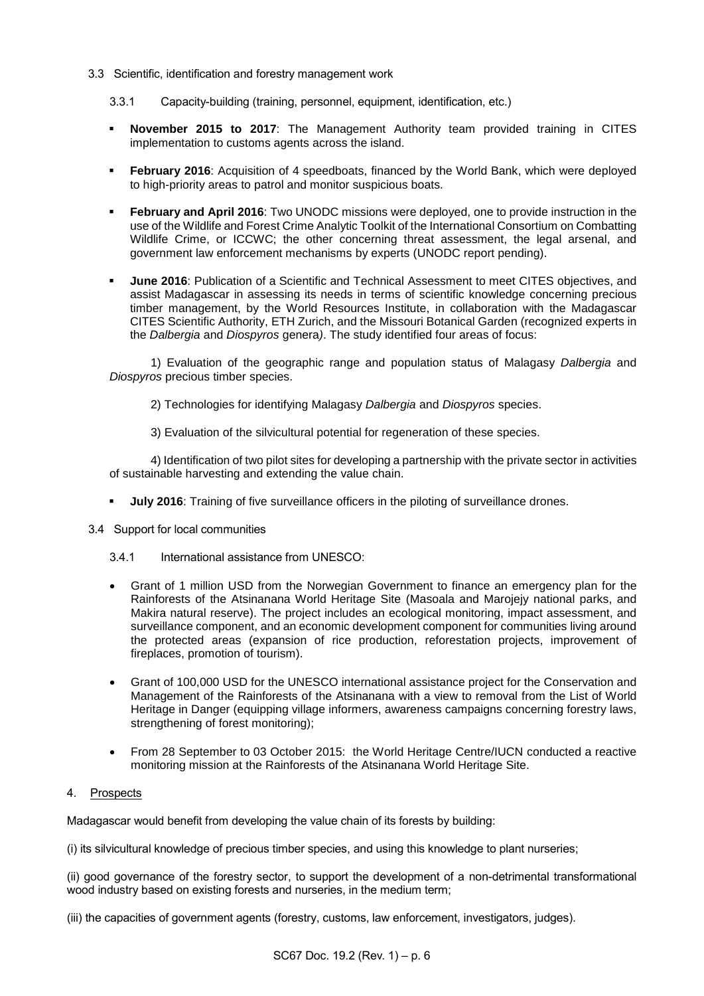- 3.3 Scientific, identification and forestry management work
	- 3.3.1 Capacity-building (training, personnel, equipment, identification, etc.)
	- **November 2015 to 2017**: The Management Authority team provided training in CITES implementation to customs agents across the island.
	- **February 2016**: Acquisition of 4 speedboats, financed by the World Bank, which were deployed to high-priority areas to patrol and monitor suspicious boats.
	- **February and April 2016**: Two UNODC missions were deployed, one to provide instruction in the use of the Wildlife and Forest Crime Analytic Toolkit of the International Consortium on Combatting Wildlife Crime, or ICCWC; the other concerning threat assessment, the legal arsenal, and government law enforcement mechanisms by experts (UNODC report pending).
	- **June 2016**: Publication of a Scientific and Technical Assessment to meet CITES objectives, and assist Madagascar in assessing its needs in terms of scientific knowledge concerning precious timber management, by the World Resources Institute, in collaboration with the Madagascar CITES Scientific Authority, ETH Zurich, and the Missouri Botanical Garden (recognized experts in the *Dalbergia* and *Diospyros* genera*)*. The study identified four areas of focus:

1) Evaluation of the geographic range and population status of Malagasy *Dalbergia* and *Diospyros* precious timber species.

2) Technologies for identifying Malagasy *Dalbergia* and *Diospyros* species.

3) Evaluation of the silvicultural potential for regeneration of these species.

4) Identification of two pilot sites for developing a partnership with the private sector in activities of sustainable harvesting and extending the value chain.

- **July 2016**: Training of five surveillance officers in the piloting of surveillance drones.
- 3.4 Support for local communities
	- 3.4.1 International assistance from UNESCO:
	- Grant of 1 million USD from the Norwegian Government to finance an emergency plan for the Rainforests of the Atsinanana World Heritage Site (Masoala and Marojejy national parks, and Makira natural reserve). The project includes an ecological monitoring, impact assessment, and surveillance component, and an economic development component for communities living around the protected areas (expansion of rice production, reforestation projects, improvement of fireplaces, promotion of tourism).
	- Grant of 100,000 USD for the UNESCO international assistance project for the Conservation and Management of the Rainforests of the Atsinanana with a view to removal from the List of World Heritage in Danger (equipping village informers, awareness campaigns concerning forestry laws, strengthening of forest monitoring);
	- From 28 September to 03 October 2015: the World Heritage Centre/IUCN conducted a reactive monitoring mission at the Rainforests of the Atsinanana World Heritage Site.

#### 4. Prospects

Madagascar would benefit from developing the value chain of its forests by building:

(i) its silvicultural knowledge of precious timber species, and using this knowledge to plant nurseries;

(ii) good governance of the forestry sector, to support the development of a non-detrimental transformational wood industry based on existing forests and nurseries, in the medium term;

(iii) the capacities of government agents (forestry, customs, law enforcement, investigators, judges).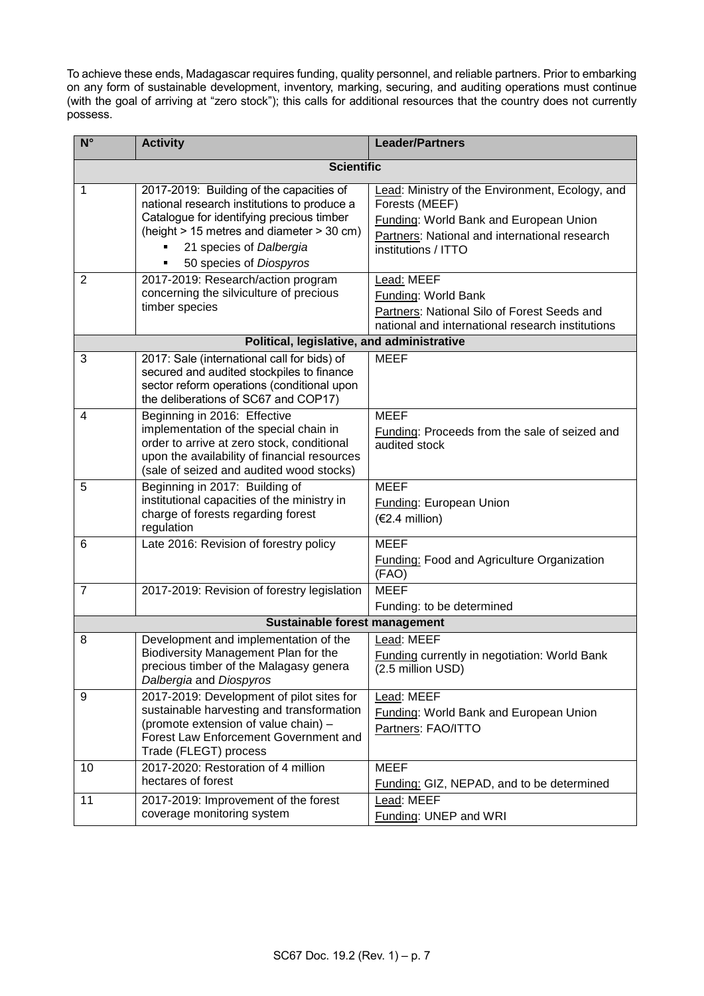To achieve these ends, Madagascar requires funding, quality personnel, and reliable partners. Prior to embarking on any form of sustainable development, inventory, marking, securing, and auditing operations must continue (with the goal of arriving at "zero stock"); this calls for additional resources that the country does not currently possess.

| $N^{\circ}$       | <b>Activity</b>                                                                                                                                                                                                                              | <b>Leader/Partners</b>                                                                                                                                                              |  |  |  |  |
|-------------------|----------------------------------------------------------------------------------------------------------------------------------------------------------------------------------------------------------------------------------------------|-------------------------------------------------------------------------------------------------------------------------------------------------------------------------------------|--|--|--|--|
| <b>Scientific</b> |                                                                                                                                                                                                                                              |                                                                                                                                                                                     |  |  |  |  |
| 1                 | 2017-2019: Building of the capacities of<br>national research institutions to produce a<br>Catalogue for identifying precious timber<br>(height > 15 metres and diameter > 30 cm)<br>21 species of Dalbergia<br>50 species of Diospyros<br>٠ | Lead: Ministry of the Environment, Ecology, and<br>Forests (MEEF)<br>Funding: World Bank and European Union<br>Partners: National and international research<br>institutions / ITTO |  |  |  |  |
| 2                 | 2017-2019: Research/action program<br>concerning the silviculture of precious<br>timber species                                                                                                                                              | Lead: MEEF<br>Funding: World Bank<br>Partners: National Silo of Forest Seeds and<br>national and international research institutions                                                |  |  |  |  |
|                   | Political, legislative, and administrative                                                                                                                                                                                                   |                                                                                                                                                                                     |  |  |  |  |
| 3                 | 2017: Sale (international call for bids) of<br>secured and audited stockpiles to finance<br>sector reform operations (conditional upon<br>the deliberations of SC67 and COP17)                                                               | <b>MEEF</b>                                                                                                                                                                         |  |  |  |  |
| 4                 | Beginning in 2016: Effective<br>implementation of the special chain in<br>order to arrive at zero stock, conditional<br>upon the availability of financial resources<br>(sale of seized and audited wood stocks)                             | <b>MEEF</b><br>Funding: Proceeds from the sale of seized and<br>audited stock                                                                                                       |  |  |  |  |
| 5                 | Beginning in 2017: Building of<br>institutional capacities of the ministry in<br>charge of forests regarding forest<br>regulation                                                                                                            | <b>MEEF</b><br><b>Funding: European Union</b><br>$(€2.4$ million)                                                                                                                   |  |  |  |  |
| 6                 | Late 2016: Revision of forestry policy                                                                                                                                                                                                       | <b>MEEF</b><br><b>Funding: Food and Agriculture Organization</b><br>(FAO)                                                                                                           |  |  |  |  |
| 7                 | 2017-2019: Revision of forestry legislation                                                                                                                                                                                                  | <b>MEEF</b>                                                                                                                                                                         |  |  |  |  |
|                   |                                                                                                                                                                                                                                              | Funding: to be determined                                                                                                                                                           |  |  |  |  |
|                   | Sustainable forest management                                                                                                                                                                                                                |                                                                                                                                                                                     |  |  |  |  |
| 8                 | Development and implementation of the<br>Biodiversity Management Plan for the<br>precious timber of the Malagasy genera<br>Dalbergia and Diospyros                                                                                           | Lead: MEEF<br><b>Funding currently in negotiation: World Bank</b><br>(2.5 million USD)                                                                                              |  |  |  |  |
| 9                 | 2017-2019: Development of pilot sites for<br>sustainable harvesting and transformation<br>(promote extension of value chain) -<br>Forest Law Enforcement Government and<br>Trade (FLEGT) process                                             | Lead: MEEF<br>Funding: World Bank and European Union<br>Partners: FAO/ITTO                                                                                                          |  |  |  |  |
| 10                | 2017-2020: Restoration of 4 million<br>hectares of forest                                                                                                                                                                                    | <b>MEEF</b><br>Funding: GIZ, NEPAD, and to be determined                                                                                                                            |  |  |  |  |
| 11                | 2017-2019: Improvement of the forest<br>coverage monitoring system                                                                                                                                                                           | Lead: MEEF<br>Funding: UNEP and WRI                                                                                                                                                 |  |  |  |  |